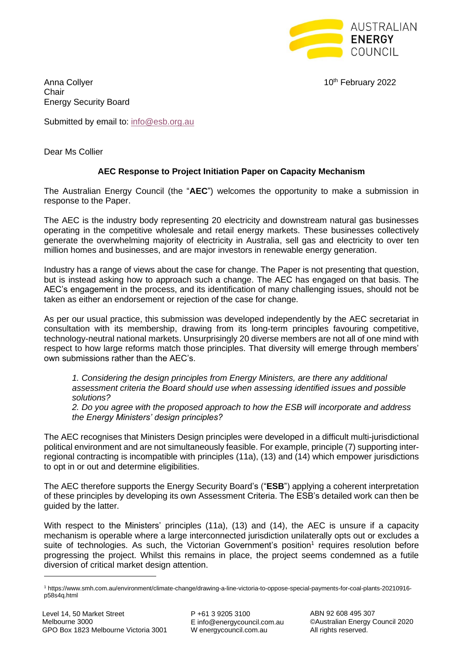

Anna Collver **10th February 2022** Chair Energy Security Board

Submitted by email to: [info@esb.org.au](mailto:info@esb.org.au)

Dear Ms Collier

# **AEC Response to Project Initiation Paper on Capacity Mechanism**

The Australian Energy Council (the "**AEC**") welcomes the opportunity to make a submission in response to the Paper.

The AEC is the industry body representing 20 electricity and downstream natural gas businesses operating in the competitive wholesale and retail energy markets. These businesses collectively generate the overwhelming majority of electricity in Australia, sell gas and electricity to over ten million homes and businesses, and are major investors in renewable energy generation.

Industry has a range of views about the case for change. The Paper is not presenting that question, but is instead asking how to approach such a change. The AEC has engaged on that basis. The AEC's engagement in the process, and its identification of many challenging issues, should not be taken as either an endorsement or rejection of the case for change.

As per our usual practice, this submission was developed independently by the AEC secretariat in consultation with its membership, drawing from its long-term principles favouring competitive, technology-neutral national markets. Unsurprisingly 20 diverse members are not all of one mind with respect to how large reforms match those principles. That diversity will emerge through members' own submissions rather than the AEC's.

*1. Considering the design principles from Energy Ministers, are there any additional assessment criteria the Board should use when assessing identified issues and possible solutions?*

*2. Do you agree with the proposed approach to how the ESB will incorporate and address the Energy Ministers' design principles?*

The AEC recognises that Ministers Design principles were developed in a difficult multi-jurisdictional political environment and are not simultaneously feasible. For example, principle (7) supporting interregional contracting is incompatible with principles (11a), (13) and (14) which empower jurisdictions to opt in or out and determine eligibilities.

The AEC therefore supports the Energy Security Board's ("**ESB**") applying a coherent interpretation of these principles by developing its own Assessment Criteria. The ESB's detailed work can then be guided by the latter.

With respect to the Ministers' principles (11a), (13) and (14), the AEC is unsure if a capacity mechanism is operable where a large interconnected jurisdiction unilaterally opts out or excludes a suite of technologies. As such, the Victorian Government's position<sup>1</sup> requires resolution before progressing the project. Whilst this remains in place, the project seems condemned as a futile diversion of critical market design attention.

<sup>1</sup> https://www.smh.com.au/environment/climate-change/drawing-a-line-victoria-to-oppose-special-payments-for-coal-plants-20210916 p58s4q.html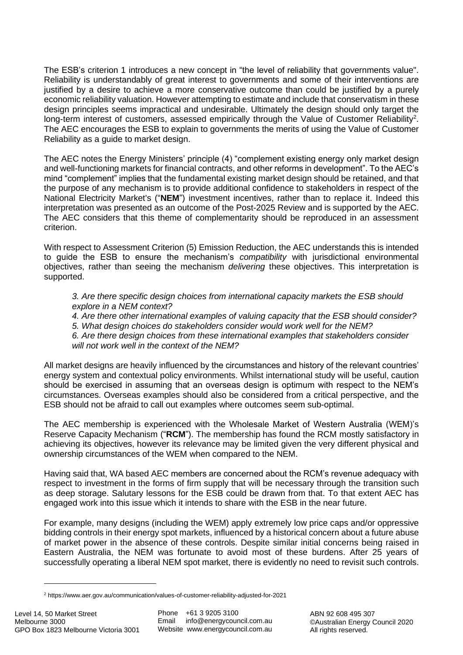The ESB's criterion 1 introduces a new concept in "the level of reliability that governments value". Reliability is understandably of great interest to governments and some of their interventions are justified by a desire to achieve a more conservative outcome than could be justified by a purely economic reliability valuation. However attempting to estimate and include that conservatism in these design principles seems impractical and undesirable. Ultimately the design should only target the long-term interest of customers, assessed empirically through the Value of Customer Reliability<sup>2</sup>. The AEC encourages the ESB to explain to governments the merits of using the Value of Customer Reliability as a guide to market design.

The AEC notes the Energy Ministers' principle (4) "complement existing energy only market design and well-functioning markets for financial contracts, and other reforms in development". To the AEC's mind "complement" implies that the fundamental existing market design should be retained, and that the purpose of any mechanism is to provide additional confidence to stakeholders in respect of the National Electricity Market's ("**NEM**") investment incentives, rather than to replace it. Indeed this interpretation was presented as an outcome of the Post-2025 Review and is supported by the AEC. The AEC considers that this theme of complementarity should be reproduced in an assessment criterion.

With respect to Assessment Criterion (5) Emission Reduction, the AEC understands this is intended to guide the ESB to ensure the mechanism's *compatibility* with jurisdictional environmental objectives, rather than seeing the mechanism *delivering* these objectives. This interpretation is supported.

*3. Are there specific design choices from international capacity markets the ESB should explore in a NEM context?*

*4. Are there other international examples of valuing capacity that the ESB should consider? 5. What design choices do stakeholders consider would work well for the NEM?*

*6. Are there design choices from these international examples that stakeholders consider will not work well in the context of the NEM?*

All market designs are heavily influenced by the circumstances and history of the relevant countries' energy system and contextual policy environments. Whilst international study will be useful, caution should be exercised in assuming that an overseas design is optimum with respect to the NEM's circumstances. Overseas examples should also be considered from a critical perspective, and the ESB should not be afraid to call out examples where outcomes seem sub-optimal.

The AEC membership is experienced with the Wholesale Market of Western Australia (WEM)'s Reserve Capacity Mechanism ("**RCM**"). The membership has found the RCM mostly satisfactory in achieving its objectives, however its relevance may be limited given the very different physical and ownership circumstances of the WEM when compared to the NEM.

Having said that, WA based AEC members are concerned about the RCM's revenue adequacy with respect to investment in the forms of firm supply that will be necessary through the transition such as deep storage. Salutary lessons for the ESB could be drawn from that. To that extent AEC has engaged work into this issue which it intends to share with the ESB in the near future.

For example, many designs (including the WEM) apply extremely low price caps and/or oppressive bidding controls in their energy spot markets, influenced by a historical concern about a future abuse of market power in the absence of these controls. Despite similar initial concerns being raised in Eastern Australia, the NEM was fortunate to avoid most of these burdens. After 25 years of successfully operating a liberal NEM spot market, there is evidently no need to revisit such controls.

<sup>2</sup> https://www.aer.gov.au/communication/values-of-customer-reliability-adjusted-for-2021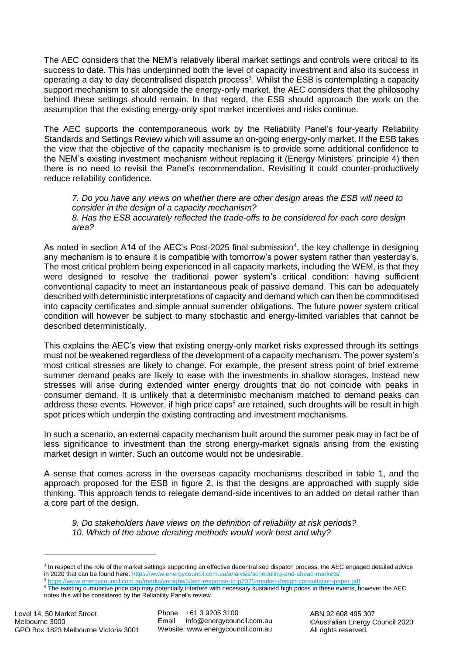The AEC considers that the NEM's relatively liberal market settings and controls were critical to its success to date. This has underpinned both the level of capacity investment and also its success in operating a day to day decentralised dispatch process<sup>3</sup>. Whilst the ESB is contemplating a capacity support mechanism to sit alongside the energy-only market, the AEC considers that the philosophy behind these settings should remain. In that regard, the ESB should approach the work on the assumption that the existing energy-only spot market incentives and risks continue.

The AEC supports the contemporaneous work by the Reliability Panel's four-yearly Reliability Standards and Settings Review which will assume an on-going energy-only market. If the ESB takes the view that the objective of the capacity mechanism is to provide some additional confidence to the NEM's existing investment mechanism without replacing it (Energy Ministers' principle 4) then there is no need to revisit the Panel's recommendation. Revisiting it could counter-productively reduce reliability confidence.

*7. Do you have any views on whether there are other design areas the ESB will need to consider in the design of a capacity mechanism? 8. Has the ESB accurately reflected the trade-offs to be considered for each core design area?*

As noted in section A14 of the AEC's Post-2025 final submission<sup>4</sup>, the key challenge in designing any mechanism is to ensure it is compatible with tomorrow's power system rather than yesterday's. The most critical problem being experienced in all capacity markets, including the WEM, is that they were designed to resolve the traditional power system's critical condition: having sufficient conventional capacity to meet an instantaneous peak of passive demand. This can be adequately described with deterministic interpretations of capacity and demand which can then be commoditised into capacity certificates and simple annual surrender obligations. The future power system critical condition will however be subject to many stochastic and energy-limited variables that cannot be described deterministically.

This explains the AEC's view that existing energy-only market risks expressed through its settings must not be weakened regardless of the development of a capacity mechanism. The power system's most critical stresses are likely to change. For example, the present stress point of brief extreme summer demand peaks are likely to ease with the investments in shallow storages. Instead new stresses will arise during extended winter energy droughts that do not coincide with peaks in consumer demand. It is unlikely that a deterministic mechanism matched to demand peaks can address these events. However, if high price caps<sup>5</sup> are retained, such droughts will be result in high spot prices which underpin the existing contracting and investment mechanisms.

In such a scenario, an external capacity mechanism built around the summer peak may in fact be of less significance to investment than the strong energy-market signals arising from the existing market design in winter. Such an outcome would not be undesirable.

A sense that comes across in the overseas capacity mechanisms described in table 1, and the approach proposed for the ESB in figure 2, is that the designs are approached with supply side thinking. This approach tends to relegate demand-side incentives to an added on detail rather than a core part of the design.

*9. Do stakeholders have views on the definition of reliability at risk periods? 10. Which of the above derating methods would work best and why?*

<sup>&</sup>lt;sup>3</sup> In respect of the role of the market settings supporting an effective decentralised dispatch process, the AEC engaged detailed advice in 2020 that can be found here[: https://www.energycouncil.com.au/analysis/scheduling-and-ahead-markets/](https://www.energycouncil.com.au/analysis/scheduling-and-ahead-markets/)

<sup>4</sup> <https://www.energycouncil.com.au/media/ynoiqhw5/aec-response-to-p2025-market-design-consultation-paper.pdf>

<sup>&</sup>lt;sup>5</sup> The existing cumulative price cap may potentially interfere with necessary sustained high prices in these events, however the AEC notes this will be considered by the Reliability Panel's review.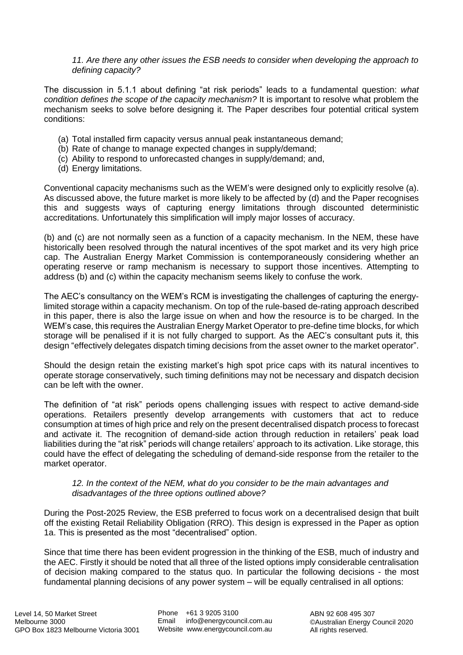*11. Are there any other issues the ESB needs to consider when developing the approach to defining capacity?*

The discussion in 5.1.1 about defining "at risk periods" leads to a fundamental question: *what condition defines the scope of the capacity mechanism?* It is important to resolve what problem the mechanism seeks to solve before designing it. The Paper describes four potential critical system conditions:

- (a) Total installed firm capacity versus annual peak instantaneous demand;
- (b) Rate of change to manage expected changes in supply/demand;
- (c) Ability to respond to unforecasted changes in supply/demand; and,
- (d) Energy limitations.

Conventional capacity mechanisms such as the WEM's were designed only to explicitly resolve (a). As discussed above, the future market is more likely to be affected by (d) and the Paper recognises this and suggests ways of capturing energy limitations through discounted deterministic accreditations. Unfortunately this simplification will imply major losses of accuracy.

(b) and (c) are not normally seen as a function of a capacity mechanism. In the NEM, these have historically been resolved through the natural incentives of the spot market and its very high price cap. The Australian Energy Market Commission is contemporaneously considering whether an operating reserve or ramp mechanism is necessary to support those incentives. Attempting to address (b) and (c) within the capacity mechanism seems likely to confuse the work.

The AEC's consultancy on the WEM's RCM is investigating the challenges of capturing the energylimited storage within a capacity mechanism. On top of the rule-based de-rating approach described in this paper, there is also the large issue on when and how the resource is to be charged. In the WEM's case, this requires the Australian Energy Market Operator to pre-define time blocks, for which storage will be penalised if it is not fully charged to support. As the AEC's consultant puts it, this design "effectively delegates dispatch timing decisions from the asset owner to the market operator".

Should the design retain the existing market's high spot price caps with its natural incentives to operate storage conservatively, such timing definitions may not be necessary and dispatch decision can be left with the owner.

The definition of "at risk" periods opens challenging issues with respect to active demand-side operations. Retailers presently develop arrangements with customers that act to reduce consumption at times of high price and rely on the present decentralised dispatch process to forecast and activate it. The recognition of demand-side action through reduction in retailers' peak load liabilities during the "at risk" periods will change retailers' approach to its activation. Like storage, this could have the effect of delegating the scheduling of demand-side response from the retailer to the market operator.

### *12. In the context of the NEM, what do you consider to be the main advantages and disadvantages of the three options outlined above?*

During the Post-2025 Review, the ESB preferred to focus work on a decentralised design that built off the existing Retail Reliability Obligation (RRO). This design is expressed in the Paper as option 1a. This is presented as the most "decentralised" option.

Since that time there has been evident progression in the thinking of the ESB, much of industry and the AEC. Firstly it should be noted that all three of the listed options imply considerable centralisation of decision making compared to the status quo. In particular the following decisions - the most fundamental planning decisions of any power system – will be equally centralised in all options: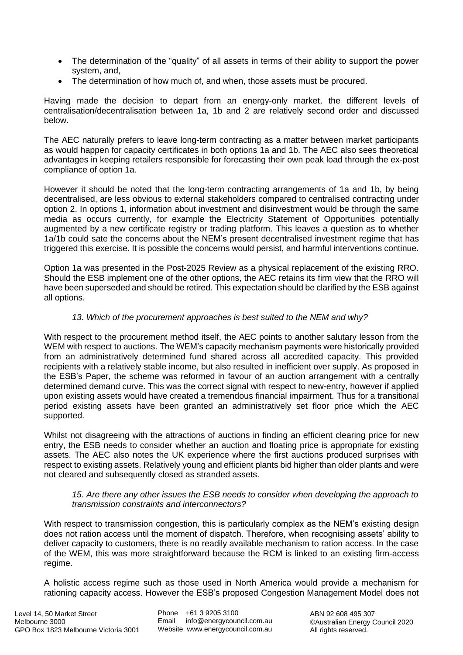- The determination of the "quality" of all assets in terms of their ability to support the power system, and,
- The determination of how much of, and when, those assets must be procured.

Having made the decision to depart from an energy-only market, the different levels of centralisation/decentralisation between 1a, 1b and 2 are relatively second order and discussed below.

The AEC naturally prefers to leave long-term contracting as a matter between market participants as would happen for capacity certificates in both options 1a and 1b. The AEC also sees theoretical advantages in keeping retailers responsible for forecasting their own peak load through the ex-post compliance of option 1a.

However it should be noted that the long-term contracting arrangements of 1a and 1b, by being decentralised, are less obvious to external stakeholders compared to centralised contracting under option 2. In options 1, information about investment and disinvestment would be through the same media as occurs currently, for example the Electricity Statement of Opportunities potentially augmented by a new certificate registry or trading platform. This leaves a question as to whether 1a/1b could sate the concerns about the NEM's present decentralised investment regime that has triggered this exercise. It is possible the concerns would persist, and harmful interventions continue.

Option 1a was presented in the Post-2025 Review as a physical replacement of the existing RRO. Should the ESB implement one of the other options, the AEC retains its firm view that the RRO will have been superseded and should be retired. This expectation should be clarified by the ESB against all options.

# *13. Which of the procurement approaches is best suited to the NEM and why?*

With respect to the procurement method itself, the AEC points to another salutary lesson from the WEM with respect to auctions. The WEM's capacity mechanism payments were historically provided from an administratively determined fund shared across all accredited capacity. This provided recipients with a relatively stable income, but also resulted in inefficient over supply. As proposed in the ESB's Paper, the scheme was reformed in favour of an auction arrangement with a centrally determined demand curve. This was the correct signal with respect to new-entry, however if applied upon existing assets would have created a tremendous financial impairment. Thus for a transitional period existing assets have been granted an administratively set floor price which the AEC supported.

Whilst not disagreeing with the attractions of auctions in finding an efficient clearing price for new entry, the ESB needs to consider whether an auction and floating price is appropriate for existing assets. The AEC also notes the UK experience where the first auctions produced surprises with respect to existing assets. Relatively young and efficient plants bid higher than older plants and were not cleared and subsequently closed as stranded assets.

### *15. Are there any other issues the ESB needs to consider when developing the approach to transmission constraints and interconnectors?*

With respect to transmission congestion, this is particularly complex as the NEM's existing design does not ration access until the moment of dispatch. Therefore, when recognising assets' ability to deliver capacity to customers, there is no readily available mechanism to ration access. In the case of the WEM, this was more straightforward because the RCM is linked to an existing firm-access regime.

A holistic access regime such as those used in North America would provide a mechanism for rationing capacity access. However the ESB's proposed Congestion Management Model does not

Phone +61 3 9205 3100 Email info@energycouncil.com.au Website www.energycouncil.com.au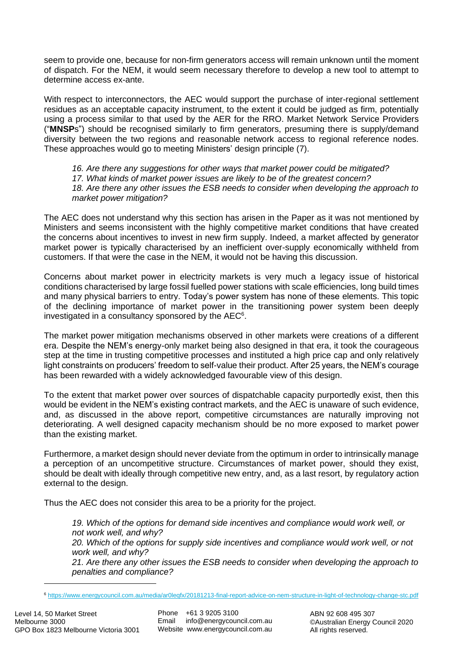seem to provide one, because for non-firm generators access will remain unknown until the moment of dispatch. For the NEM, it would seem necessary therefore to develop a new tool to attempt to determine access ex-ante.

With respect to interconnectors, the AEC would support the purchase of inter-regional settlement residues as an acceptable capacity instrument, to the extent it could be judged as firm, potentially using a process similar to that used by the AER for the RRO. Market Network Service Providers ("**MNSP**s") should be recognised similarly to firm generators, presuming there is supply/demand diversity between the two regions and reasonable network access to regional reference nodes. These approaches would go to meeting Ministers' design principle (7).

*16. Are there any suggestions for other ways that market power could be mitigated?*

*17. What kinds of market power issues are likely to be of the greatest concern?*

*18. Are there any other issues the ESB needs to consider when developing the approach to market power mitigation?*

The AEC does not understand why this section has arisen in the Paper as it was not mentioned by Ministers and seems inconsistent with the highly competitive market conditions that have created the concerns about incentives to invest in new firm supply. Indeed, a market affected by generator market power is typically characterised by an inefficient over-supply economically withheld from customers. If that were the case in the NEM, it would not be having this discussion.

Concerns about market power in electricity markets is very much a legacy issue of historical conditions characterised by large fossil fuelled power stations with scale efficiencies, long build times and many physical barriers to entry. Today's power system has none of these elements. This topic of the declining importance of market power in the transitioning power system been deeply investigated in a consultancy sponsored by the AEC<sup>6</sup>.

The market power mitigation mechanisms observed in other markets were creations of a different era. Despite the NEM's energy-only market being also designed in that era, it took the courageous step at the time in trusting competitive processes and instituted a high price cap and only relatively light constraints on producers' freedom to self-value their product. After 25 years, the NEM's courage has been rewarded with a widely acknowledged favourable view of this design.

To the extent that market power over sources of dispatchable capacity purportedly exist, then this would be evident in the NEM's existing contract markets, and the AEC is unaware of such evidence, and, as discussed in the above report, competitive circumstances are naturally improving not deteriorating. A well designed capacity mechanism should be no more exposed to market power than the existing market.

Furthermore, a market design should never deviate from the optimum in order to intrinsically manage a perception of an uncompetitive structure. Circumstances of market power, should they exist, should be dealt with ideally through competitive new entry, and, as a last resort, by regulatory action external to the design.

Thus the AEC does not consider this area to be a priority for the project.

*19. Which of the options for demand side incentives and compliance would work well, or not work well, and why?*

*20. Which of the options for supply side incentives and compliance would work well, or not work well, and why?*

*21. Are there any other issues the ESB needs to consider when developing the approach to penalties and compliance?*

<sup>6</sup> <https://www.energycouncil.com.au/media/ar0leqfx/20181213-final-report-advice-on-nem-structure-in-light-of-technology-change-stc.pdf>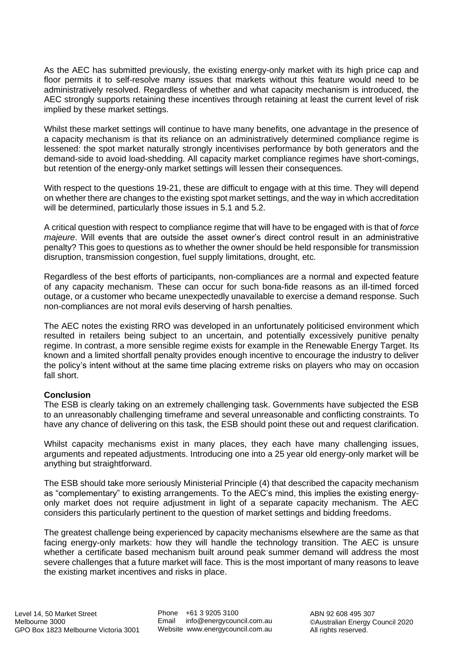As the AEC has submitted previously, the existing energy-only market with its high price cap and floor permits it to self-resolve many issues that markets without this feature would need to be administratively resolved. Regardless of whether and what capacity mechanism is introduced, the AEC strongly supports retaining these incentives through retaining at least the current level of risk implied by these market settings.

Whilst these market settings will continue to have many benefits, one advantage in the presence of a capacity mechanism is that its reliance on an administratively determined compliance regime is lessened: the spot market naturally strongly incentivises performance by both generators and the demand-side to avoid load-shedding. All capacity market compliance regimes have short-comings, but retention of the energy-only market settings will lessen their consequences.

With respect to the questions 19-21, these are difficult to engage with at this time. They will depend on whether there are changes to the existing spot market settings, and the way in which accreditation will be determined, particularly those issues in 5.1 and 5.2.

A critical question with respect to compliance regime that will have to be engaged with is that of *force majeure*. Will events that are outside the asset owner's direct control result in an administrative penalty? This goes to questions as to whether the owner should be held responsible for transmission disruption, transmission congestion, fuel supply limitations, drought, etc.

Regardless of the best efforts of participants, non-compliances are a normal and expected feature of any capacity mechanism. These can occur for such bona-fide reasons as an ill-timed forced outage, or a customer who became unexpectedly unavailable to exercise a demand response. Such non-compliances are not moral evils deserving of harsh penalties.

The AEC notes the existing RRO was developed in an unfortunately politicised environment which resulted in retailers being subject to an uncertain, and potentially excessively punitive penalty regime. In contrast, a more sensible regime exists for example in the Renewable Energy Target. Its known and a limited shortfall penalty provides enough incentive to encourage the industry to deliver the policy's intent without at the same time placing extreme risks on players who may on occasion fall short.

## **Conclusion**

The ESB is clearly taking on an extremely challenging task. Governments have subjected the ESB to an unreasonably challenging timeframe and several unreasonable and conflicting constraints. To have any chance of delivering on this task, the ESB should point these out and request clarification.

Whilst capacity mechanisms exist in many places, they each have many challenging issues, arguments and repeated adjustments. Introducing one into a 25 year old energy-only market will be anything but straightforward.

The ESB should take more seriously Ministerial Principle (4) that described the capacity mechanism as "complementary" to existing arrangements. To the AEC's mind, this implies the existing energyonly market does not require adjustment in light of a separate capacity mechanism. The AEC considers this particularly pertinent to the question of market settings and bidding freedoms.

The greatest challenge being experienced by capacity mechanisms elsewhere are the same as that facing energy-only markets: how they will handle the technology transition. The AEC is unsure whether a certificate based mechanism built around peak summer demand will address the most severe challenges that a future market will face. This is the most important of many reasons to leave the existing market incentives and risks in place.